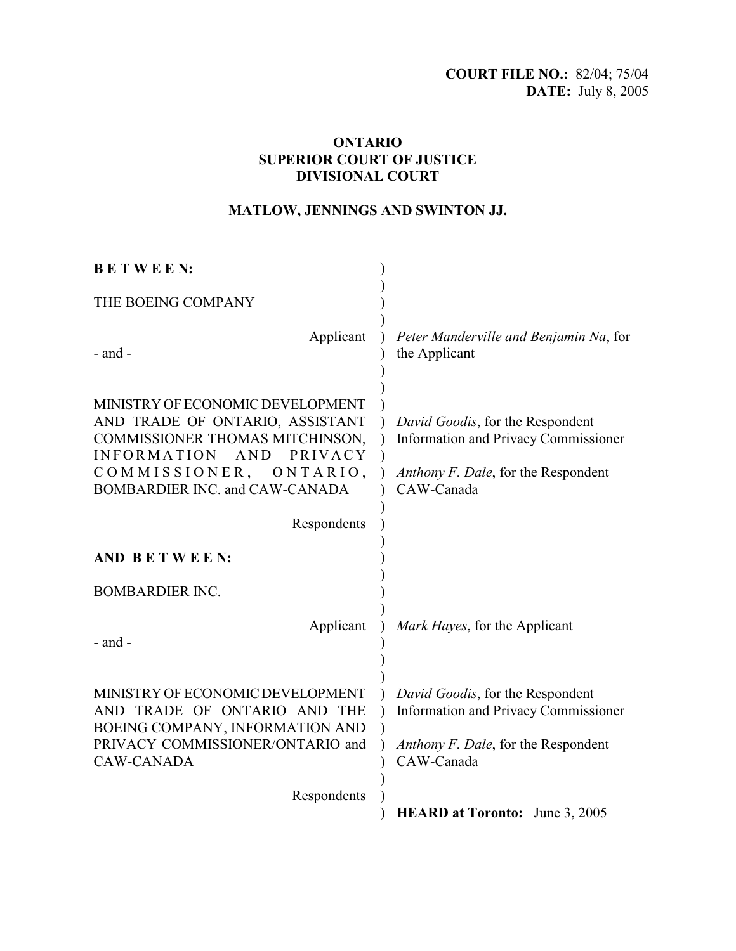## **ONTARIO SUPERIOR COURT OF JUSTICE DIVISIONAL COURT**

# **MATLOW, JENNINGS AND SWINTON JJ.**

| <b>BETWEEN:</b>                                                                                                                                                                                            |                                                                                                                                      |
|------------------------------------------------------------------------------------------------------------------------------------------------------------------------------------------------------------|--------------------------------------------------------------------------------------------------------------------------------------|
| THE BOEING COMPANY                                                                                                                                                                                         |                                                                                                                                      |
| Applicant<br>- and -                                                                                                                                                                                       | Peter Manderville and Benjamin Na, for<br>the Applicant                                                                              |
| MINISTRY OF ECONOMIC DEVELOPMENT<br>AND TRADE OF ONTARIO, ASSISTANT<br>COMMISSIONER THOMAS MITCHINSON,<br><b>INFORMATION</b><br>AND PRIVACY<br>COMMISSIONER,<br>ONTARIO,<br>BOMBARDIER INC. and CAW-CANADA | David Goodis, for the Respondent<br><b>Information and Privacy Commissioner</b><br>Anthony F. Dale, for the Respondent<br>CAW-Canada |
| Respondents                                                                                                                                                                                                |                                                                                                                                      |
| AND BETWEEN:                                                                                                                                                                                               |                                                                                                                                      |
| <b>BOMBARDIER INC.</b>                                                                                                                                                                                     |                                                                                                                                      |
| Applicant<br>$-$ and $-$                                                                                                                                                                                   | Mark Hayes, for the Applicant                                                                                                        |
| MINISTRY OF ECONOMIC DEVELOPMENT<br>AND TRADE OF ONTARIO AND THE<br>BOEING COMPANY, INFORMATION AND<br>PRIVACY COMMISSIONER/ONTARIO and<br><b>CAW-CANADA</b>                                               | David Goodis, for the Respondent<br>Information and Privacy Commissioner<br>Anthony F. Dale, for the Respondent<br>CAW-Canada        |
| Respondents                                                                                                                                                                                                | <b>HEARD at Toronto:</b> June 3, 2005                                                                                                |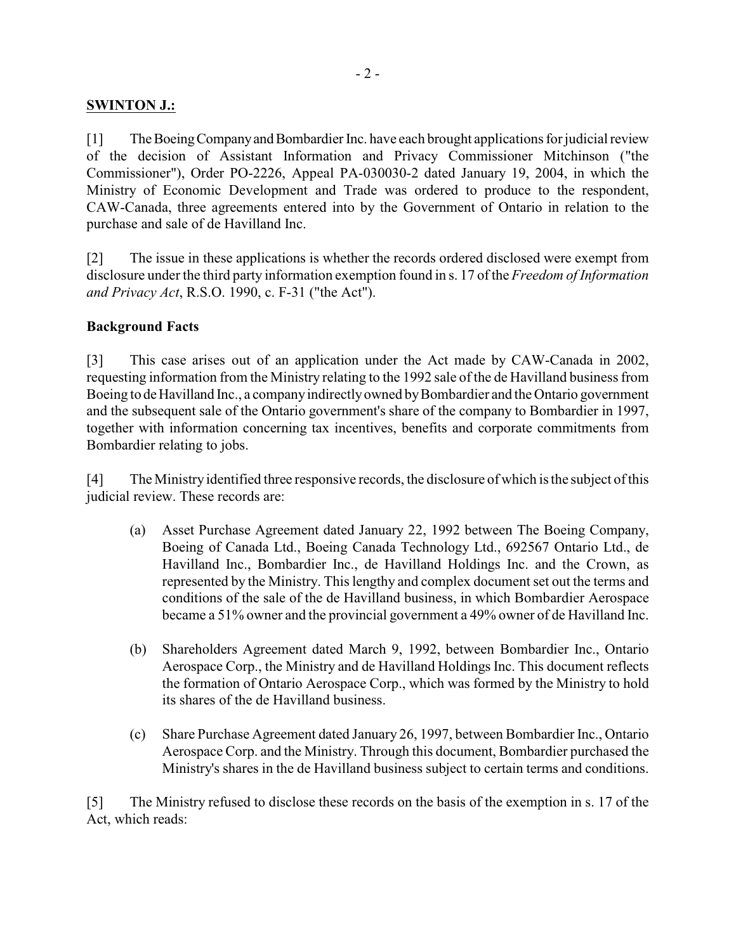## **SWINTON J.:**

[1] The Boeing Company and Bombardier Inc. have each brought applications for judicial review of the decision of Assistant Information and Privacy Commissioner Mitchinson ("the Commissioner"), Order PO-2226, Appeal PA-030030-2 dated January 19, 2004, in which the Ministry of Economic Development and Trade was ordered to produce to the respondent, CAW-Canada, three agreements entered into by the Government of Ontario in relation to the purchase and sale of de Havilland Inc.

[2] The issue in these applications is whether the records ordered disclosed were exempt from disclosure under the third party information exemption found in s. 17 of the *Freedom of Information and Privacy Act*, R.S.O. 1990, c. F-31 ("the Act").

### **Background Facts**

[3] This case arises out of an application under the Act made by CAW-Canada in 2002, requesting information from the Ministry relating to the 1992 sale of the de Havilland business from Boeing to de Havilland Inc., a company indirectly owned by Bombardier and the Ontario government and the subsequent sale of the Ontario government's share of the company to Bombardier in 1997, together with information concerning tax incentives, benefits and corporate commitments from Bombardier relating to jobs.

[4] The Ministry identified three responsive records, the disclosure of which isthe subject of this judicial review. These records are:

- (a) Asset Purchase Agreement dated January 22, 1992 between The Boeing Company, Boeing of Canada Ltd., Boeing Canada Technology Ltd., 692567 Ontario Ltd., de Havilland Inc., Bombardier Inc., de Havilland Holdings Inc. and the Crown, as represented by the Ministry. This lengthy and complex document set out the terms and conditions of the sale of the de Havilland business, in which Bombardier Aerospace became a 51% owner and the provincial government a 49% owner of de Havilland Inc.
- (b) Shareholders Agreement dated March 9, 1992, between Bombardier Inc., Ontario Aerospace Corp., the Ministry and de Havilland Holdings Inc. This document reflects the formation of Ontario Aerospace Corp., which was formed by the Ministry to hold its shares of the de Havilland business.
- (c) Share Purchase Agreement dated January 26, 1997, between Bombardier Inc., Ontario Aerospace Corp. and the Ministry. Through this document, Bombardier purchased the Ministry's shares in the de Havilland business subject to certain terms and conditions.

[5] The Ministry refused to disclose these records on the basis of the exemption in s. 17 of the Act, which reads: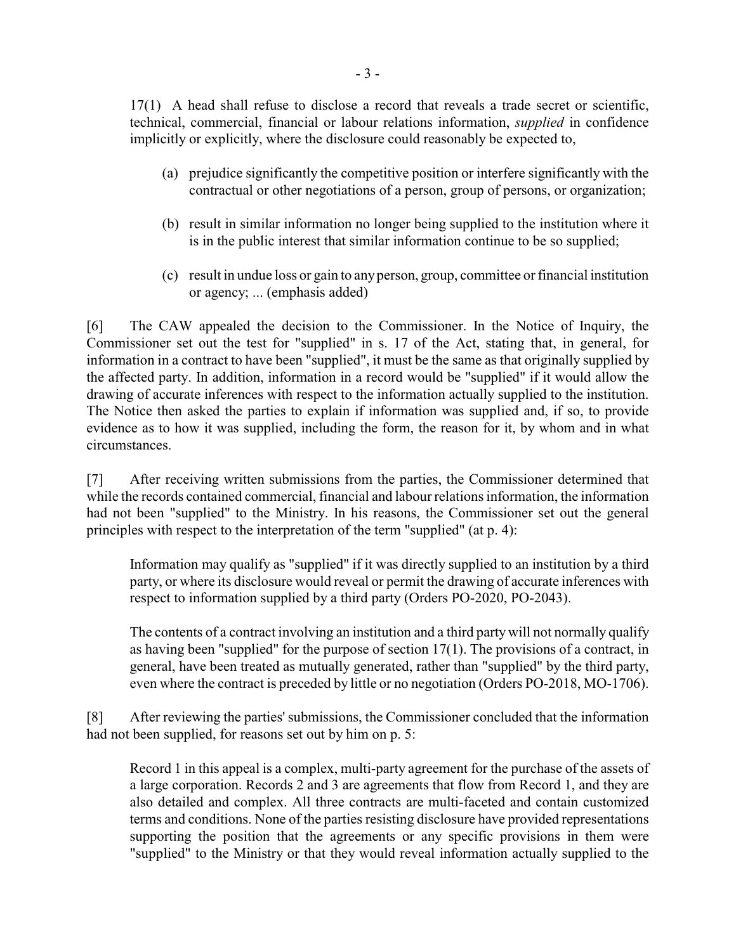17(1) A head shall refuse to disclose a record that reveals a trade secret or scientific, technical, commercial, financial or labour relations information, *supplied* in confidence implicitly or explicitly, where the disclosure could reasonably be expected to,

- (a) prejudice significantly the competitive position or interfere significantly with the contractual or other negotiations of a person, group of persons, or organization;
- (b) result in similar information no longer being supplied to the institution where it is in the public interest that similar information continue to be so supplied;
- (c) result in undue loss or gain to anyperson, group, committee or financial institution or agency; ... (emphasis added)

[6] The CAW appealed the decision to the Commissioner. In the Notice of Inquiry, the Commissioner set out the test for "supplied" in s. 17 of the Act, stating that, in general, for information in a contract to have been "supplied", it must be the same as that originally supplied by the affected party. In addition, information in a record would be "supplied" if it would allow the drawing of accurate inferences with respect to the information actually supplied to the institution. The Notice then asked the parties to explain if information was supplied and, if so, to provide evidence as to how it was supplied, including the form, the reason for it, by whom and in what circumstances.

[7] After receiving written submissions from the parties, the Commissioner determined that while the records contained commercial, financial and labour relations information, the information had not been "supplied" to the Ministry. In his reasons, the Commissioner set out the general principles with respect to the interpretation of the term "supplied" (at p. 4):

Information may qualify as "supplied" if it was directly supplied to an institution by a third party, or where its disclosure would reveal or permit the drawing of accurate inferences with respect to information supplied by a third party (Orders PO-2020, PO-2043).

The contents of a contract involving an institution and a third party will not normally qualify as having been "supplied" for the purpose of section 17(1). The provisions of a contract, in general, have been treated as mutually generated, rather than "supplied" by the third party, even where the contract is preceded by little or no negotiation (Orders PO-2018, MO-1706).

[8] After reviewing the parties'submissions, the Commissioner concluded that the information had not been supplied, for reasons set out by him on p. 5:

Record 1 in this appeal is a complex, multi-party agreement for the purchase of the assets of a large corporation. Records 2 and 3 are agreements that flow from Record 1, and they are also detailed and complex. All three contracts are multi-faceted and contain customized terms and conditions. None of the parties resisting disclosure have provided representations supporting the position that the agreements or any specific provisions in them were "supplied" to the Ministry or that they would reveal information actually supplied to the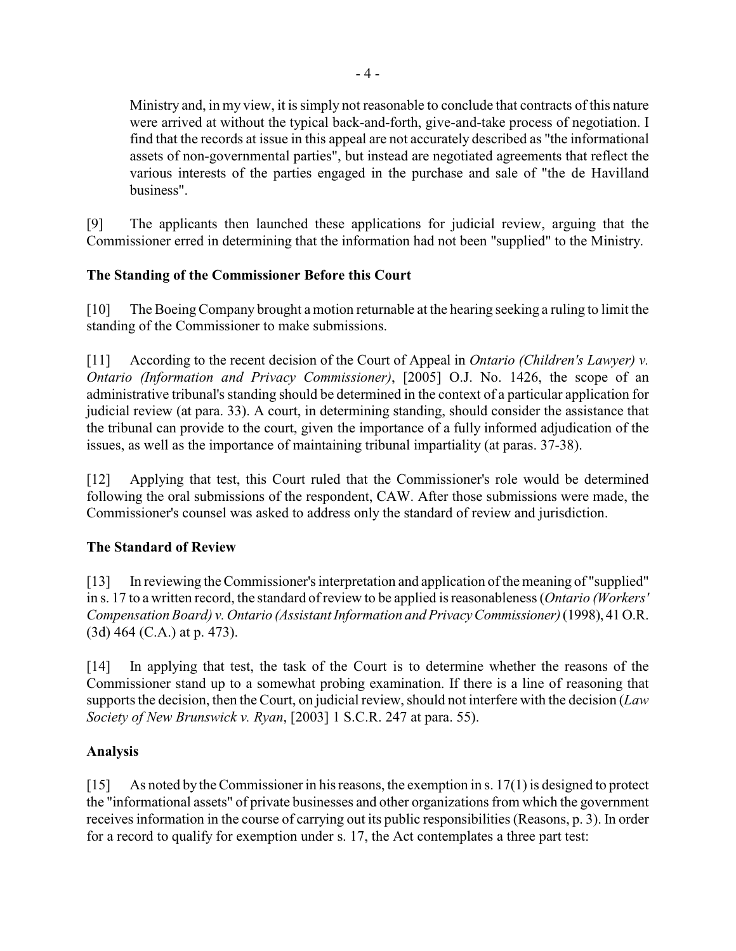Ministry and, in my view, it is simply not reasonable to conclude that contracts of this nature were arrived at without the typical back-and-forth, give-and-take process of negotiation. I find that the records at issue in this appeal are not accurately described as "the informational assets of non-governmental parties", but instead are negotiated agreements that reflect the various interests of the parties engaged in the purchase and sale of "the de Havilland business".

[9] The applicants then launched these applications for judicial review, arguing that the Commissioner erred in determining that the information had not been "supplied" to the Ministry.

# **The Standing of the Commissioner Before this Court**

[10] The Boeing Company brought a motion returnable at the hearing seeking a ruling to limit the standing of the Commissioner to make submissions.

[11] According to the recent decision of the Court of Appeal in *Ontario (Children's Lawyer) v. Ontario (Information and Privacy Commissioner)*, [2005] O.J. No. 1426, the scope of an administrative tribunal's standing should be determined in the context of a particular application for judicial review (at para. 33). A court, in determining standing, should consider the assistance that the tribunal can provide to the court, given the importance of a fully informed adjudication of the issues, as well as the importance of maintaining tribunal impartiality (at paras. 37-38).

[12] Applying that test, this Court ruled that the Commissioner's role would be determined following the oral submissions of the respondent, CAW. After those submissions were made, the Commissioner's counsel was asked to address only the standard of review and jurisdiction.

# **The Standard of Review**

[13] In reviewing the Commissioner's interpretation and application of the meaning of "supplied" in s. 17 to a written record, the standard of review to be applied is reasonableness (*Ontario (Workers' Compensation Board) v. Ontario (Assistant Information and Privacy Commissioner)* (1998), 41 O.R. (3d) 464 (C.A.) at p. 473).

[14] In applying that test, the task of the Court is to determine whether the reasons of the Commissioner stand up to a somewhat probing examination. If there is a line of reasoning that supports the decision, then the Court, on judicial review, should not interfere with the decision (*Law Society of New Brunswick v. Ryan*, [2003] 1 S.C.R. 247 at para. 55).

## **Analysis**

[15] As noted by the Commissioner in his reasons, the exemption in s. 17(1) is designed to protect the "informational assets" of private businesses and other organizations from which the government receives information in the course of carrying out its public responsibilities (Reasons, p. 3). In order for a record to qualify for exemption under s. 17, the Act contemplates a three part test: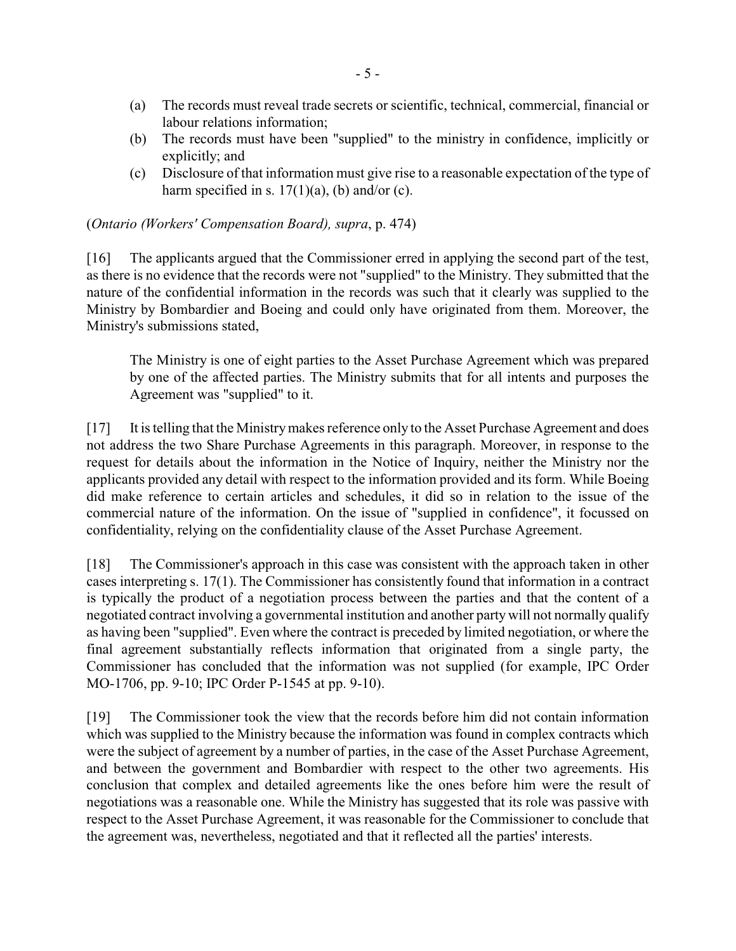- (a) The records must reveal trade secrets or scientific, technical, commercial, financial or labour relations information;
- (b) The records must have been "supplied" to the ministry in confidence, implicitly or explicitly; and
- (c) Disclosure of that information must give rise to a reasonable expectation of the type of harm specified in s.  $17(1)(a)$ , (b) and/or (c).

(*Ontario (Workers' Compensation Board), supra*, p. 474)

[16] The applicants argued that the Commissioner erred in applying the second part of the test, as there is no evidence that the records were not "supplied" to the Ministry. They submitted that the nature of the confidential information in the records was such that it clearly was supplied to the Ministry by Bombardier and Boeing and could only have originated from them. Moreover, the Ministry's submissions stated,

The Ministry is one of eight parties to the Asset Purchase Agreement which was prepared by one of the affected parties. The Ministry submits that for all intents and purposes the Agreement was "supplied" to it.

[17] It is telling that the Ministry makes reference only to the Asset Purchase Agreement and does not address the two Share Purchase Agreements in this paragraph. Moreover, in response to the request for details about the information in the Notice of Inquiry, neither the Ministry nor the applicants provided any detail with respect to the information provided and its form. While Boeing did make reference to certain articles and schedules, it did so in relation to the issue of the commercial nature of the information. On the issue of "supplied in confidence", it focussed on confidentiality, relying on the confidentiality clause of the Asset Purchase Agreement.

[18] The Commissioner's approach in this case was consistent with the approach taken in other cases interpreting s. 17(1). The Commissioner has consistently found that information in a contract is typically the product of a negotiation process between the parties and that the content of a negotiated contract involving a governmental institution and another party will not normally qualify as having been "supplied". Even where the contract is preceded by limited negotiation, or where the final agreement substantially reflects information that originated from a single party, the Commissioner has concluded that the information was not supplied (for example, IPC Order MO-1706, pp. 9-10; IPC Order P-1545 at pp. 9-10).

[19] The Commissioner took the view that the records before him did not contain information which was supplied to the Ministry because the information was found in complex contracts which were the subject of agreement by a number of parties, in the case of the Asset Purchase Agreement, and between the government and Bombardier with respect to the other two agreements. His conclusion that complex and detailed agreements like the ones before him were the result of negotiations was a reasonable one. While the Ministry has suggested that its role was passive with respect to the Asset Purchase Agreement, it was reasonable for the Commissioner to conclude that the agreement was, nevertheless, negotiated and that it reflected all the parties' interests.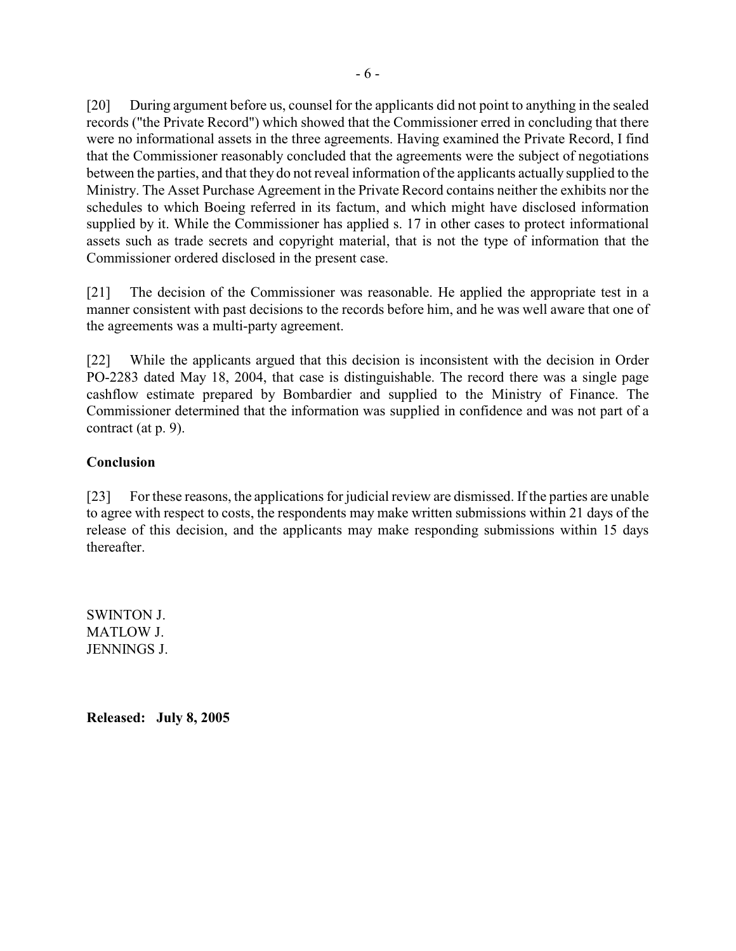[20] During argument before us, counsel for the applicants did not point to anything in the sealed records ("the Private Record") which showed that the Commissioner erred in concluding that there were no informational assets in the three agreements. Having examined the Private Record, I find that the Commissioner reasonably concluded that the agreements were the subject of negotiations between the parties, and that they do not reveal information of the applicants actually supplied to the Ministry. The Asset Purchase Agreement in the Private Record contains neither the exhibits nor the schedules to which Boeing referred in its factum, and which might have disclosed information supplied by it. While the Commissioner has applied s. 17 in other cases to protect informational assets such as trade secrets and copyright material, that is not the type of information that the Commissioner ordered disclosed in the present case.

[21] The decision of the Commissioner was reasonable. He applied the appropriate test in a manner consistent with past decisions to the records before him, and he was well aware that one of the agreements was a multi-party agreement.

[22] While the applicants argued that this decision is inconsistent with the decision in Order PO-2283 dated May 18, 2004, that case is distinguishable. The record there was a single page cashflow estimate prepared by Bombardier and supplied to the Ministry of Finance. The Commissioner determined that the information was supplied in confidence and was not part of a contract (at p. 9).

## **Conclusion**

[23] For these reasons, the applications for judicial review are dismissed. If the parties are unable to agree with respect to costs, the respondents may make written submissions within 21 days of the release of this decision, and the applicants may make responding submissions within 15 days thereafter.

SWINTON J. MATLOW J. JENNINGS J.

**Released: July 8, 2005**